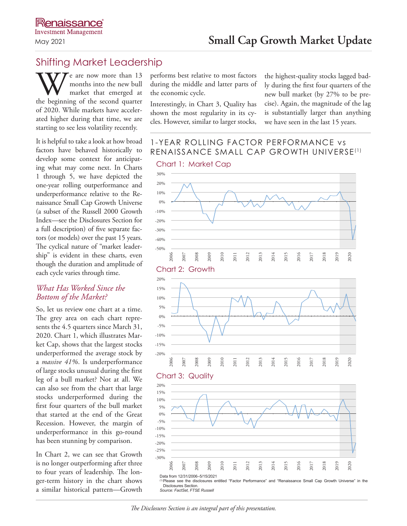# Shifting Market Leadership

We are now more than 13<br>
months into the new bull<br>
the beginning of the second quarter months into the new bull market that emerged at of 2020. While markets have accelerated higher during that time, we are starting to see less volatility recently.

It is helpful to take a look at how broad factors have behaved historically to develop some context for anticipating what may come next. In Charts 1 through 5, we have depicted the one-year rolling outperformance and underperformance relative to the Renaissance Small Cap Growth Universe (a subset of the Russell 2000 Growth Index—see the Disclosures Section for a full description) of five separate factors (or models) over the past 15 years. The cyclical nature of "market leadership" is evident in these charts, even though the duration and amplitude of each cycle varies through time.

## *What Has Worked Since the Bottom of the Market?*

So, let us review one chart at a time. The grey area on each chart represents the 4.5 quarters since March 31, 2020. Chart 1, which illustrates Market Cap, shows that the largest stocks underperformed the average stock by a *massive 41%*. Is underperformance of large stocks unusual during the first leg of a bull market? Not at all. We can also see from the chart that large stocks underperformed during the first four quarters of the bull market that started at the end of the Great Recession. However, the margin of underperformance in this go-round has been stunning by comparison.

In Chart 2, we can see that Growth is no longer outperforming after three to four years of leadership. The longer-term history in the chart shows a similar historical pattern—Growth performs best relative to most factors during the middle and latter parts of the economic cycle.

Interestingly, in Chart 3, Quality has shown the most regularity in its cycles. However, similar to larger stocks,

the highest-quality stocks lagged badly during the first four quarters of the new bull market (by 27% to be precise). Again, the magnitude of the lag is substantially larger than anything we have seen in the last 15 years.

# 1-YEAR ROLLING FACTOR PERFORMANCE vs RENAISSANCE SMALL CAP GROWTH UNIVERSE(1)



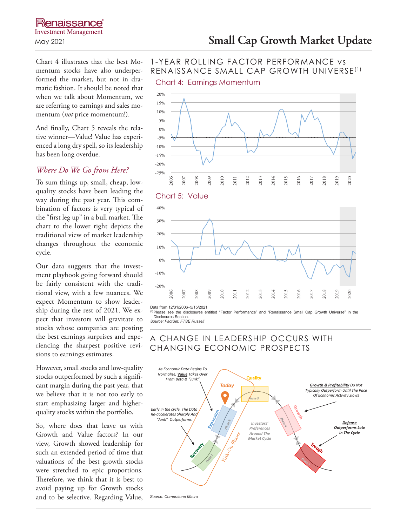# **Renaissance Investment Management**

Chart 4 illustrates that the best Momentum stocks have also underperformed the market, but not in dramatic fashion. It should be noted that when we talk about Momentum, we are referring to earnings and sales momentum (*not* price momentum!).

And finally, Chart 5 reveals the relative winner—Value! Value has experienced a long dry spell, so its leadership has been long overdue.

## *Where Do We Go from Here?*

To sum things up, small, cheap, lowquality stocks have been leading the way during the past year. This combination of factors is very typical of the "first leg up" in a bull market. The chart to the lower right depicts the traditional view of market leadership changes throughout the economic cycle.

Our data suggests that the investment playbook going forward should be fairly consistent with the traditional view, with a few nuances. We expect Momentum to show leadership during the rest of 2021. We expect that investors will gravitate to stocks whose companies are posting the best earnings surprises and experiencing the sharpest positive revisions to earnings estimates.

However, small stocks and low-quality stocks outperformed by such a significant margin during the past year, that we believe that it is not too early to start emphasizing larger and higherquality stocks within the portfolio.

So, where does that leave us with Growth and Value factors? In our view, Growth showed leadership for such an extended period of time that valuations of the best growth stocks were stretched to epic proportions. Therefore, we think that it is best to avoid paying up for Growth stocks and to be selective. Regarding Value, *Source: Cornerstone Macro*

# May 2021 **Small Cap Growth Market Update**

## 1-YEAR ROLLING FACTOR PERFORMANCE vs RENAISSANCE SMALL CAP GROWTH UNIVERSE(1)

Chart 4: Earnings Momentum



#### Chart 5: Value



Data from 12/31/2006–5/15/2021

(1)Please see the disclosures entitled "Factor Performance" and "Renaissance Small Cap Growth Universe" in the Disclosures Section.

*Source: FactSet, FTSE Russell*



## A CHANGE IN LEADERSHIP OCCURS WITH CHANGING ECONOMIC PROSPECTS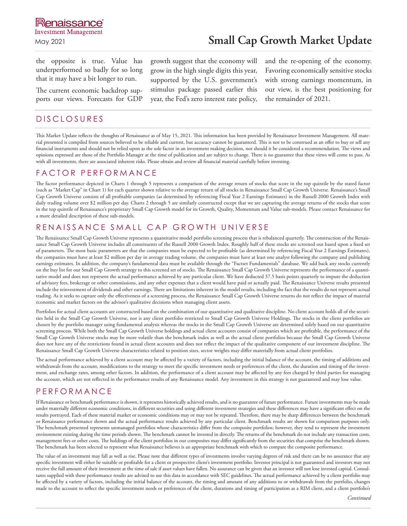the opposite is true. Value has underperformed so badly for so long that it may have a bit longer to run.

The current economic backdrop supports our views. Forecasts for GDP

## DISCLOSURES

growth suggest that the economy will grow in the high single digits this year, supported by the U.S. government's stimulus package passed earlier this year, the Fed's zero interest rate policy, and the re-opening of the economy. Favoring economically sensitive stocks with strong earnings momentum, in our view, is the best positioning for the remainder of 2021.

This Market Update reflects the thoughts of Renaissance as of May 15, 2021. This information has been provided by Renaissance Investment Management. All material presented is compiled from sources believed to be reliable and current, but accuracy cannot be guaranteed. This is not to be construed as an offer to buy or sell any financial instruments and should not be relied upon as the sole factor in an investment making decision, nor should it be considered a recommendation. The views and opinions expressed are those of the Portfolio Manager at the time of publication and are subject to change. There is no guarantee that these views will come to pass. As with all investments, there are associated inherent risks. Please obtain and review all financial material carefully before investing.

### FACTOR PERFORMANCE

The factor performance depicted in Charts 1 through 5 represents a comparison of the average return of stocks that score in the top quintile by the stated factor (such as "Market Cap" in Chart 1) for each quarter shown relative to the average return of all stocks in Renaissance Small Cap Growth Universe. Renaissance's Small Cap Growth Universe consists of all profitable companies (as determined by referencing Fiscal Year 2 Earnings Estimates) in the Russell 2000 Growth Index with daily trading volume over \$2 million per day. Charts 2 through 5 are similarly constructed except that we are capturing the average returns of the stocks that score in the top quintile of Renaissance's proprietary Small Cap Growth model for its Growth, Quality, Momentum and Value sub-models. Please contact Renaissance for a more detailed description of these sub-models.

# RENAISSANCE SMALL CAP GROWTH UNIVERSE

The Renaissance Small Cap Growth Universe represents a quantitative model portfolio screening process that is rebalanced quarterly. The construction of the Renaissance Small Cap Growth Universe includes all constituents of the Russell 2000 Growth Index. Roughly half of these stocks are screened out based upon a fixed set of parameters. The most basic parameters are that the companies must be expected to be profitable (as determined by referencing Fiscal Year 2 Earnings Estimates), the companies must have at least \$2 million per day in average trading volume, the companies must have at least one analyst following the company and publishing earnings estimates. In addition, the company's fundamental data must be available through the "Factset Fundamentals" database. We add back any stocks currently on the buy list for our Small Cap Growth strategy to this screened set of stocks. The Renaissance Small Cap Growth Universe represents the performance of a quantitative model and does not represent the actual performance achieved by any particular client. We have deducted 37.5 basis points quarterly to impute the deduction of advisory fees, brokerage or other commissions, and any other expenses that a client would have paid or actually paid. The Renaissance Universe results presented include the reinvestment of dividends and other earnings. There are limitations inherent in the model results, including the fact that the results do not represent actual trading. As it seeks to capture only the effectiveness of a screening process, the Renaissance Small Cap Growth Universe returns do not reflect the impact of material economic and market factors on the advisor's qualitative decisions when managing client assets.

Portfolios for actual client accounts are constructed based on the combination of our quantitative and qualitative discipline. No client account holds all of the securities held in the Small Cap Growth Universe, nor is any client portfolio restricted to Small Cap Growth Universe Holdings. The stocks in the client portfolios are chosen by the portfolio manager using fundamental analysis whereas the stocks in the Small Cap Growth Universe are determined solely based on our quantitative screening process. While both the Small Cap Growth Universe holdings and actual client accounts consist of companies which are profitable, the performance of the Small Cap Growth Universe stocks may be more volatile than the benchmark index as well as the actual client portfolios because the Small Cap Growth Universe does not have any of the restrictions found in actual client accounts and does not reflect the impact of the qualitative component of our investment discipline. The Renaissance Small Cap Growth Universe characteristics related to position sizes, sector weights may differ materially from actual client portfolios.

The actual performance achieved by a client account may be affected by a variety of factors, including the initial balance of the account, the timing of additions and withdrawals from the account, modifications to the strategy to meet the specific investment needs or preferences of the client, the duration and timing of the investment, and exchange rates, among other factors. In addition, the performance of a client account may be affected by any fees charged by third parties for managing the account, which are not reflected in the performance results of any Renaissance model. Any investment in this strategy is not guaranteed and may lose value.

## PERFORMANCE

If Renaissance or benchmark performance is shown, it represents historically achieved results, and is no guarantee of future performance. Future investments may be made under materially different economic conditions, in different securities and using different investment strategies and these differences may have a significant effect on the results portrayed. Each of these material market or economic conditions may or may not be repeated. Therefore, there may be sharp differences between the benchmark or Renaissance performance shown and the actual performance results achieved by any particular client. Benchmark results are shown for comparison purposes only. The benchmark presented represents unmanaged portfolios whose characteristics differ from the composite portfolios; however, they tend to represent the investment environment existing during the time periods shown. The benchmark cannot be invested in directly. The returns of the benchmark do not include any transaction costs, management fees or other costs. The holdings of the client portfolios in our composites may differ significantly from the securities that comprise the benchmark shown. The benchmark has been selected to represent what Renaissance believes is an appropriate benchmark with which to compare the composite performance.

The value of an investment may fall as well as rise. Please note that different types of investments involve varying degrees of risk and there can be no assurance that any specific investment will either be suitable or profitable for a client or prospective client's investment portfolio. Investor principal is not guaranteed and investors may not receive the full amount of their investment at the time of sale if asset values have fallen. No assurance can be given that an investor will not lose invested capital. Consultants supplied with these performance results are advised to use this data in accordance with SEC guidelines. The actual performance achieved by a client portfolio may be affected by a variety of factors, including the initial balance of the account, the timing and amount of any additions to or withdrawals from the portfolio, changes made to the account to reflect the specific investment needs or preferences of the client, durations and timing of participation as a RIM client, and a client portfolio's